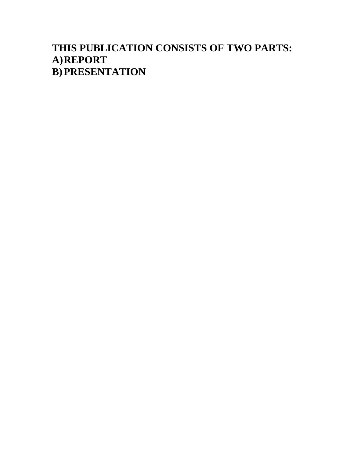### **THIS PUBLICATION CONSISTS OF TWO PARTS: A)REPORT B)PRESENTATION**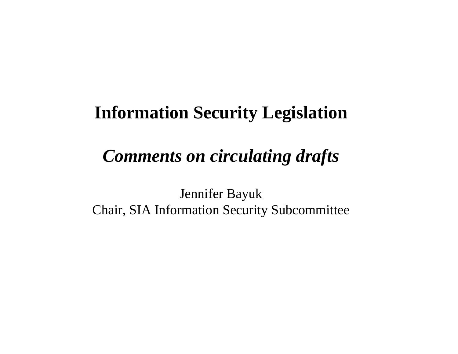# **Information Security Legislation**

# *Comments on circulating drafts*

Jennifer Bayuk Chair, SIA Information Security Subcommittee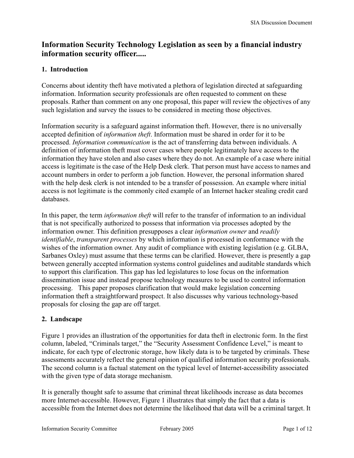### **Information Security Technology Legislation as seen by a financial industry information security officer.....**

### **1. Introduction**

Concerns about identity theft have motivated a plethora of legislation directed at safeguarding information. Information security professionals are often requested to comment on these proposals. Rather than comment on any one proposal, this paper will review the objectives of any such legislation and survey the issues to be considered in meeting those objectives.

Information security is a safeguard against information theft. However, there is no universally accepted definition of *information theft*. Information must be shared in order for it to be processed. *Information communication* is the act of transferring data between individuals. A definition of information theft must cover cases where people legitimately have access to the information they have stolen and also cases where they do not. An example of a case where initial access is legitimate is the case of the Help Desk clerk. That person must have access to names and account numbers in order to perform a job function. However, the personal information shared with the help desk clerk is not intended to be a transfer of possession. An example where initial access is not legitimate is the commonly cited example of an Internet hacker stealing credit card databases.

In this paper, the term *information theft* will refer to the transfer of information to an individual that is not specifically authorized to possess that information via processes adopted by the information owner. This definition presupposes a clear *information owner* and *readily identifiable*, *transparent processes* by which information is processed in conformance with the wishes of the information owner. Any audit of compliance with existing legislation (e.g. GLBA, Sarbanes Oxley) must assume that these terms can be clarified. However, there is presently a gap between generally accepted information systems control guidelines and auditable standards which to support this clarification. This gap has led legislatures to lose focus on the information dissemination issue and instead propose technology measures to be used to control information processing. This paper proposes clarification that would make legislation concerning information theft a straightforward prospect. It also discusses why various technology-based proposals for closing the gap are off target.

### **2. Landscape**

Figure 1 provides an illustration of the opportunities for data theft in electronic form. In the first column, labeled, "Criminals target," the "Security Assessment Confidence Level," is meant to indicate, for each type of electronic storage, how likely data is to be targeted by criminals. These assessments accurately reflect the general opinion of qualified information security professionals. The second column is a factual statement on the typical level of Internet-accessibility associated with the given type of data storage mechanism.

It is generally thought safe to assume that criminal threat likelihoods increase as data becomes more Internet-accessible. However, Figure 1 illustrates that simply the fact that a data is accessible from the Internet does not determine the likelihood that data will be a criminal target. It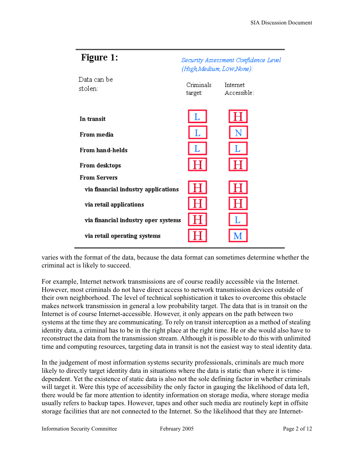| Figure 1:                           | Security Assessment Confidence Level<br>(High, Medium, Low,None): |                         |  |
|-------------------------------------|-------------------------------------------------------------------|-------------------------|--|
| Data can be<br>stolen:              | Criminals<br>target:                                              | Internet<br>Accessible: |  |
| In transit                          |                                                                   |                         |  |
| From media                          |                                                                   |                         |  |
| <b>From hand-helds</b>              |                                                                   |                         |  |
| From desktops                       |                                                                   |                         |  |
| <b>From Servers</b>                 |                                                                   |                         |  |
| via financial industry applications |                                                                   |                         |  |
| via retail applications             |                                                                   |                         |  |
| via financial industry oper systems |                                                                   |                         |  |
| via retail operating systems        |                                                                   |                         |  |

varies with the format of the data, because the data format can sometimes determine whether the criminal act is likely to succeed.

For example, Internet network transmissions are of course readily accessible via the Internet. However, most criminals do not have direct access to network transmission devices outside of their own neighborhood. The level of technical sophistication it takes to overcome this obstacle makes network transmission in general a low probability target. The data that is in transit on the Internet is of course Internet-accessible. However, it only appears on the path between two systems at the time they are communicating. To rely on transit interception as a method of stealing identity data, a criminal has to be in the right place at the right time. He or she would also have to reconstruct the data from the transmission stream. Although it is possible to do this with unlimited time and computing resources, targeting data in transit is not the easiest way to steal identity data.

In the judgement of most information systems security professionals, criminals are much more likely to directly target identity data in situations where the data is static than where it is timedependent. Yet the existence of static data is also not the sole defining factor in whether criminals will target it. Were this type of accessibility the only factor in gauging the likelihood of data left, there would be far more attention to identity information on storage media, where storage media usually refers to backup tapes. However, tapes and other such media are routinely kept in offsite storage facilities that are not connected to the Internet. So the likelihood that they are Internet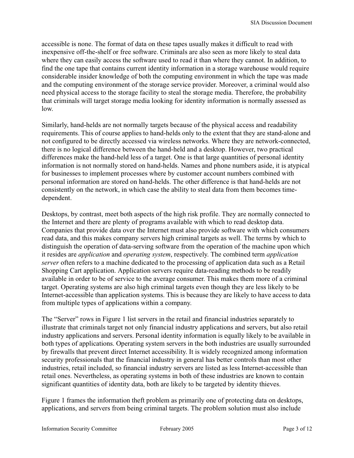accessible is none. The format of data on these tapes usually makes it difficult to read with inexpensive off-the-shelf or free software. Criminals are also seen as more likely to steal data where they can easily access the software used to read it than where they cannot. In addition, to find the one tape that contains current identity information in a storage warehouse would require considerable insider knowledge of both the computing environment in which the tape was made and the computing environment of the storage service provider. Moreover, a criminal would also need physical access to the storage facility to steal the storage media. Therefore, the probability that criminals will target storage media looking for identity information is normally assessed as low.

Similarly, hand-helds are not normally targets because of the physical access and readability requirements. This of course applies to hand-helds only to the extent that they are stand-alone and not configured to be directly accessed via wireless networks. Where they are network-connected, there is no logical difference between the hand-held and a desktop. However, two practical differences make the hand-held less of a target. One is that large quantities of personal identity information is not normally stored on hand-helds. Names and phone numbers aside, it is atypical for businesses to implement processes where by customer account numbers combined with personal information are stored on hand-helds. The other difference is that hand-helds are not consistently on the network, in which case the ability to steal data from them becomes timedependent.

Desktops, by contrast, meet both aspects of the high risk profile. They are normally connected to the Internet and there are plenty of programs available with which to read desktop data. Companies that provide data over the Internet must also provide software with which consumers read data, and this makes company servers high criminal targets as well. The terms by which to distinguish the operation of data-serving software from the operation of the machine upon which it resides are *application* and *operating system*, respectively. The combined term *application server* often refers to a machine dedicated to the processing of application data such as a Retail Shopping Cart application. Application servers require data-reading methods to be readily available in order to be of service to the average consumer. This makes them more of a criminal target. Operating systems are also high criminal targets even though they are less likely to be Internet-accessible than application systems. This is because they are likely to have access to data from multiple types of applications within a company.

The "Server" rows in Figure 1 list servers in the retail and financial industries separately to illustrate that criminals target not only financial industry applications and servers, but also retail industry applications and servers. Personal identity information is equally likely to be available in both types of applications. Operating system servers in the both industries are usually surrounded by firewalls that prevent direct Internet accessibility. It is widely recognized among information security professionals that the financial industry in general has better controls than most other industries, retail included, so financial industry servers are listed as less Internet-accessible than retail ones. Nevertheless, as operating systems in both of these industries are known to contain significant quantities of identity data, both are likely to be targeted by identity thieves.

Figure 1 frames the information theft problem as primarily one of protecting data on desktops, applications, and servers from being criminal targets. The problem solution must also include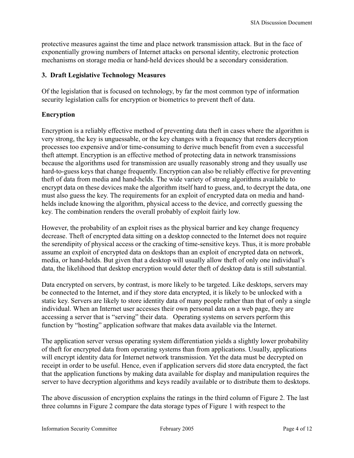protective measures against the time and place network transmission attack. But in the face of exponentially growing numbers of Internet attacks on personal identity, electronic protection mechanisms on storage media or hand-held devices should be a secondary consideration.

### **3. Draft Legislative Technology Measures**

Of the legislation that is focused on technology, by far the most common type of information security legislation calls for encryption or biometrics to prevent theft of data.

### **Encryption**

Encryption is a reliably effective method of preventing data theft in cases where the algorithm is very strong, the key is unguessable, or the key changes with a frequency that renders decryption processes too expensive and/or time-consuming to derive much benefit from even a successful theft attempt. Encryption is an effective method of protecting data in network transmissions because the algorithms used for transmission are usually reasonably strong and they usually use hard-to-guess keys that change frequently. Encryption can also be reliably effective for preventing theft of data from media and hand-helds. The wide variety of strong algorithms available to encrypt data on these devices make the algorithm itself hard to guess, and, to decrypt the data, one must also guess the key. The requirements for an exploit of encrypted data on media and handhelds include knowing the algorithm, physical access to the device, and correctly guessing the key. The combination renders the overall probably of exploit fairly low.

However, the probability of an exploit rises as the physical barrier and key change frequency decrease. Theft of encrypted data sitting on a desktop connected to the Internet does not require the serendipity of physical access or the cracking of time-sensitive keys. Thus, it is more probable assume an exploit of encrypted data on desktops than an exploit of encrypted data on network, media, or hand-helds. But given that a desktop will usually allow theft of only one individual's data, the likelihood that desktop encryption would deter theft of desktop data is still substantial.

Data encrypted on servers, by contrast, is more likely to be targeted. Like desktops, servers may be connected to the Internet, and if they store data encrypted, it is likely to be unlocked with a static key. Servers are likely to store identity data of many people rather than that of only a single individual. When an Internet user accesses their own personal data on a web page, they are accessing a server that is "serving" their data. Operating systems on servers perform this function by "hosting" application software that makes data available via the Internet.

The application server versus operating system differentiation yields a slightly lower probability of theft for encrypted data from operating systems than from applications. Usually, applications will encrypt identity data for Internet network transmission. Yet the data must be decrypted on receipt in order to be useful. Hence, even if application servers did store data encrypted, the fact that the application functions by making data available for display and manipulation requires the server to have decryption algorithms and keys readily available or to distribute them to desktops.

The above discussion of encryption explains the ratings in the third column of Figure 2. The last three columns in Figure 2 compare the data storage types of Figure 1 with respect to the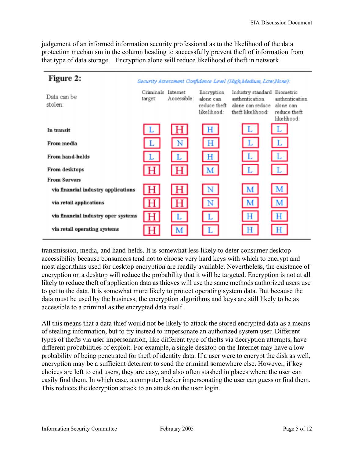judgement of an informed information security professional as to the likelihood of the data protection mechanism in the column heading to successfully prevent theft of information from that type of data storage. Encryption alone will reduce likelihood of theft in network

| Figure 2:                           |                               |             |                                                        | Security Assessment Confidence Level (High Medium, Low None):                |                                                                         |
|-------------------------------------|-------------------------------|-------------|--------------------------------------------------------|------------------------------------------------------------------------------|-------------------------------------------------------------------------|
| Data can be<br>stolen:              | Criminals Internet<br>target: | Accessible: | Encryption<br>alone can<br>reduce theft<br>likelihood: | Industry standard<br>authentication<br>alone can reduce<br>theft likelihood: | Biometric<br>authentication<br>alone can<br>reduce theft<br>likelihood: |
| In transit                          | L                             | H           | н                                                      |                                                                              |                                                                         |
| From media                          | L                             | N           | н                                                      |                                                                              |                                                                         |
| From hand-helds                     | L                             |             | н                                                      | L                                                                            |                                                                         |
| From desktops                       | Н                             | н           | М                                                      | L                                                                            |                                                                         |
| <b>From Servers</b>                 |                               |             |                                                        |                                                                              |                                                                         |
| via financial industry applications | H                             | Н           | N                                                      | м                                                                            | $\mathbf{M}$                                                            |
| via retail applications             |                               | Н           | N                                                      | м                                                                            | М                                                                       |
| via financial industry oper systems | н                             |             |                                                        | Н                                                                            | Н                                                                       |
| via retail operating systems        |                               | М           |                                                        | н                                                                            | Н                                                                       |

transmission, media, and hand-helds. It is somewhat less likely to deter consumer desktop accessibility because consumers tend not to choose very hard keys with which to encrypt and most algorithms used for desktop encryption are readily available. Nevertheless, the existence of encryption on a desktop will reduce the probability that it will be targeted. Encryption is not at all likely to reduce theft of application data as thieves will use the same methods authorized users use to get to the data. It is somewhat more likely to protect operating system data. But because the data must be used by the business, the encryption algorithms and keys are still likely to be as accessible to a criminal as the encrypted data itself.

All this means that a data thief would not be likely to attack the stored encrypted data as a means of stealing information, but to try instead to impersonate an authorized system user. Different types of thefts via user impersonation, like different type of thefts via decryption attempts, have different probabilities of exploit. For example, a single desktop on the Internet may have a low probability of being penetrated for theft of identity data. If a user were to encrypt the disk as well, encryption may be a sufficient deterrent to send the criminal somewhere else. However, if key choices are left to end users, they are easy, and also often stashed in places where the user can easily find them. In which case, a computer hacker impersonating the user can guess or find them. This reduces the decryption attack to an attack on the user login.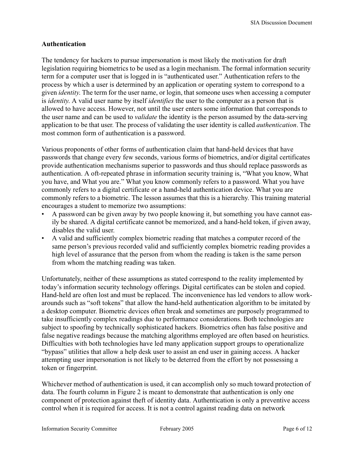### **Authentication**

The tendency for hackers to pursue impersonation is most likely the motivation for draft legislation requiring biometrics to be used as a login mechanism. The formal information security term for a computer user that is logged in is "authenticated user." Authentication refers to the process by which a user is determined by an application or operating system to correspond to a given *identity*. The term for the user name, or login, that someone uses when accessing a computer is *identity*. A valid user name by itself *identifies* the user to the computer as a person that is allowed to have access. However, not until the user enters some information that corresponds to the user name and can be used to *validate* the identity is the person assumed by the data-serving application to be that user. The process of validating the user identity is called *authentication*. The most common form of authentication is a password.

Various proponents of other forms of authentication claim that hand-held devices that have passwords that change every few seconds, various forms of biometrics, and/or digital certificates provide authentication mechanisms superior to passwords and thus should replace passwords as authentication. A oft-repeated phrase in information security training is, "What you know, What you have, and What you are." What you know commonly refers to a password. What you have commonly refers to a digital certificate or a hand-held authentication device. What you are commonly refers to a biometric. The lesson assumes that this is a hierarchy. This training material encourages a student to memorize two assumptions:

- A password can be given away by two people knowing it, but something you have cannot easily be shared. A digital certificate cannot be memorized, and a hand-held token, if given away, disables the valid user.
- A valid and sufficiently complex biometric reading that matches a computer record of the same person's previous recorded valid and sufficiently complex biometric reading provides a high level of assurance that the person from whom the reading is taken is the same person from whom the matching reading was taken.

Unfortunately, neither of these assumptions as stated correspond to the reality implemented by today's information security technology offerings. Digital certificates can be stolen and copied. Hand-held are often lost and must be replaced. The inconvenience has led vendors to allow workarounds such as "soft tokens" that allow the hand-held authentication algorithm to be imitated by a desktop computer. Biometric devices often break and sometimes are purposely programmed to take insufficiently complex readings due to performance considerations. Both technologies are subject to spoofing by technically sophisticated hackers. Biometrics often has false positive and false negative readings because the matching algorithms employed are often based on heuristics. Difficulties with both technologies have led many application support groups to operationalize "bypass" utilities that allow a help desk user to assist an end user in gaining access. A hacker attempting user impersonation is not likely to be deterred from the effort by not possessing a token or fingerprint.

Whichever method of authentication is used, it can accomplish only so much toward protection of data. The fourth column in Figure 2 is meant to demonstrate that authentication is only one component of protection against theft of identity data. Authentication is only a preventive access control when it is required for access. It is not a control against reading data on network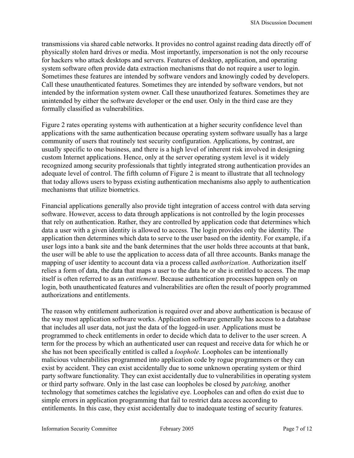transmissions via shared cable networks. It provides no control against reading data directly off of physically stolen hard drives or media. Most importantly, impersonation is not the only recourse for hackers who attack desktops and servers. Features of desktop, application, and operating system software often provide data extraction mechanisms that do not require a user to login. Sometimes these features are intended by software vendors and knowingly coded by developers. Call these unauthenticated features. Sometimes they are intended by software vendors, but not intended by the information system owner. Call these unauthorized features. Sometimes they are unintended by either the software developer or the end user. Only in the third case are they formally classified as vulnerabilities.

Figure 2 rates operating systems with authentication at a higher security confidence level than applications with the same authentication because operating system software usually has a large community of users that routinely test security configuration. Applications, by contrast, are usually specific to one business, and there is a high level of inherent risk involved in designing custom Internet applications. Hence, only at the server operating system level is it widely recognized among security professionals that tightly integrated strong authentication provides an adequate level of control. The fifth column of Figure 2 is meant to illustrate that all technology that today allows users to bypass existing authentication mechanisms also apply to authentication mechanisms that utilize biometrics.

Financial applications generally also provide tight integration of access control with data serving software. However, access to data through applications is not controlled by the login processes that rely on authentication. Rather, they are controlled by application code that determines which data a user with a given identity is allowed to access. The login provides only the identity. The application then determines which data to serve to the user based on the identity. For example, if a user logs into a bank site and the bank determines that the user holds three accounts at that bank, the user will be able to use the application to access data of all three accounts. Banks manage the mapping of user identity to account data via a process called *authorization*. Authorization itself relies a form of data, the data that maps a user to the data he or she is entitled to access. The map itself is often referred to as an *entitlement*. Because authentication processes happen only on login, both unauthenticated features and vulnerabilities are often the result of poorly programmed authorizations and entitlements.

The reason why entitlement authorization is required over and above authentication is because of the way most application software works. Application software generally has access to a database that includes all user data, not just the data of the logged-in user. Applications must be programmed to check entitlements in order to decide which data to deliver to the user screen. A term for the process by which an authenticated user can request and receive data for which he or she has not been specifically entitled is called a *loophole*. Loopholes can be intentionally malicious vulnerabilities programmed into application code by rogue programmers or they can exist by accident. They can exist accidentally due to some unknown operating system or third party software functionality. They can exist accidentally due to vulnerabilities in operating system or third party software. Only in the last case can loopholes be closed by *patching,* another technology that sometimes catches the legislative eye. Loopholes can and often do exist due to simple errors in application programming that fail to restrict data access according to entitlements. In this case, they exist accidentally due to inadequate testing of security features.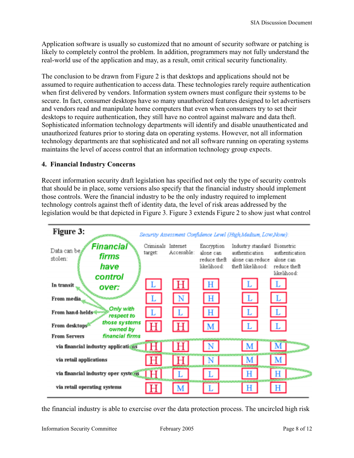Application software is usually so customized that no amount of security software or patching is likely to completely control the problem. In addition, programmers may not fully understand the real-world use of the application and may, as a result, omit critical security functionality.

The conclusion to be drawn from Figure 2 is that desktops and applications should not be assumed to require authentication to access data. These technologies rarely require authentication when first delivered by vendors. Information system owners must configure their systems to be secure. In fact, consumer desktops have so many unauthorized features designed to let advertisers and vendors read and manipulate home computers that even when consumers try to set their desktops to require authentication, they still have no control against malware and data theft. Sophisticated information technology departments will identify and disable unauthenticated and unauthorized features prior to storing data on operating systems. However, not all information technology departments are that sophisticated and not all software running on operating systems maintains the level of access control that an information technology group expects.

### **4. Financial Industry Concerns**

Recent information security draft legislation has specified not only the type of security controls that should be in place, some versions also specify that the financial industry should implement those controls. Were the financial industry to be the only industry required to implement technology controls against theft of identity data, the level of risk areas addressed by the legislation would be that depicted in Figure 3. Figure 3 extends Figure 2 to show just what control

| Figure 3:<br>Security Assessment Confidence Level (High Medium, Low None): |                               |                                    |                                                        |                                                                              |                                                                         |  |  |
|----------------------------------------------------------------------------|-------------------------------|------------------------------------|--------------------------------------------------------|------------------------------------------------------------------------------|-------------------------------------------------------------------------|--|--|
| Financial<br>Data can be,<br>firms<br>stolen:<br>have<br>control           | Criminals Internet<br>target: | Accessible:                        | Encryption<br>alone can<br>reduce theft<br>likelihood: | Industry standard<br>authentication<br>alone can reduce<br>theft likelihood: | Biometric<br>authentication<br>alone can<br>reduce theft<br>likelihood: |  |  |
| In transit<br>over:                                                        | $\cdot$ L                     | н                                  | H                                                      | ΙL                                                                           | $\overline{\mathbf{L}}$                                                 |  |  |
| From media                                                                 | $\mathbf{L}$                  | N                                  | Η                                                      | L                                                                            | L                                                                       |  |  |
| Only with<br>From hand-helds<br>respect to                                 |                               |                                    | Н                                                      | L                                                                            | IL.                                                                     |  |  |
| those systems<br>From desktops<br>owned by                                 | Н                             | H                                  | $\mathbf{M}$                                           | l L-                                                                         | l L                                                                     |  |  |
| financial firms<br><b>From Servers</b>                                     |                               |                                    |                                                        |                                                                              |                                                                         |  |  |
| via financial industry applications                                        |                               | $\langle \hat{\mathrm{H}} \rangle$ | N                                                      | M                                                                            | $\mathbf{M}$                                                            |  |  |
| via retail applications                                                    | н                             | l H I                              | N                                                      | M                                                                            | IМ                                                                      |  |  |
| via financial industry oper systems                                        | ĦΙ                            |                                    |                                                        | н                                                                            | н                                                                       |  |  |
| via retail operating systems                                               |                               |                                    |                                                        | Η                                                                            | н                                                                       |  |  |

the financial industry is able to exercise over the data protection process. The uncircled high risk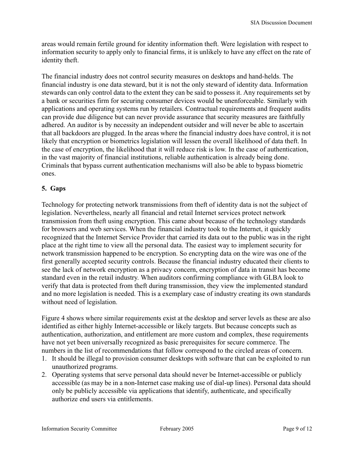areas would remain fertile ground for identity information theft. Were legislation with respect to information security to apply only to financial firms, it is unlikely to have any effect on the rate of identity theft.

The financial industry does not control security measures on desktops and hand-helds. The financial industry is one data steward, but it is not the only steward of identity data. Information stewards can only control data to the extent they can be said to possess it. Any requirements set by a bank or securities firm for securing consumer devices would be unenforceable. Similarly with applications and operating systems run by retailers. Contractual requirements and frequent audits can provide due diligence but can never provide assurance that security measures are faithfully adhered. An auditor is by necessity an independent outsider and will never be able to ascertain that all backdoors are plugged. In the areas where the financial industry does have control, it is not likely that encryption or biometrics legislation will lessen the overall likelihood of data theft. In the case of encryption, the likelihood that it will reduce risk is low. In the case of authentication, in the vast majority of financial institutions, reliable authentication is already being done. Criminals that bypass current authentication mechanisms will also be able to bypass biometric ones.

### **5. Gaps**

Technology for protecting network transmissions from theft of identity data is not the subject of legislation. Nevertheless, nearly all financial and retail Internet services protect network transmission from theft using encryption. This came about because of the technology standards for browsers and web services. When the financial industry took to the Internet, it quickly recognized that the Internet Service Provider that carried its data out to the public was in the right place at the right time to view all the personal data. The easiest way to implement security for network transmission happened to be encryption. So encrypting data on the wire was one of the first generally accepted security controls. Because the financial industry educated their clients to see the lack of network encryption as a privacy concern, encryption of data in transit has become standard even in the retail industry. When auditors confirming compliance with GLBA look to verify that data is protected from theft during transmission, they view the implemented standard and no more legislation is needed. This is a exemplary case of industry creating its own standards without need of legislation.

Figure 4 shows where similar requirements exist at the desktop and server levels as these are also identified as either highly Internet-accessible or likely targets. But because concepts such as authentication, authorization, and entitlement are more custom and complex, these requirements have not yet been universally recognized as basic prerequisites for secure commerce. The numbers in the list of recommendations that follow correspond to the circled areas of concern.

- 1. It should be illegal to provision consumer desktops with software that can be exploited to run unauthorized programs.
- 2. Operating systems that serve personal data should never be Internet-accessible or publicly accessible (as may be in a non-Internet case making use of dial-up lines). Personal data should only be publicly accessible via applications that identify, authenticate, and specifically authorize end users via entitlements.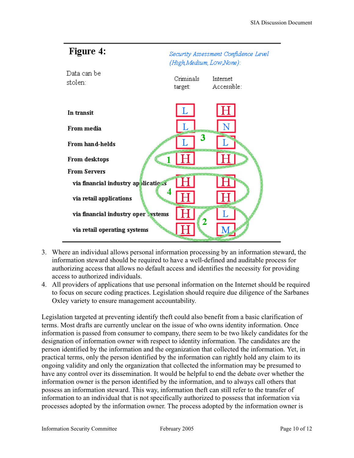

- 3. Where an individual allows personal information processing by an information steward, the information steward should be required to have a well-defined and auditable process for authorizing access that allows no default access and identifies the necessity for providing access to authorized individuals.
- 4. All providers of applications that use personal information on the Internet should be required to focus on secure coding practices. Legislation should require due diligence of the Sarbanes Oxley variety to ensure management accountability.

Legislation targeted at preventing identify theft could also benefit from a basic clarification of terms. Most drafts are currently unclear on the issue of who owns identity information. Once information is passed from consumer to company, there seem to be two likely candidates for the designation of information owner with respect to identity information. The candidates are the person identified by the information and the organization that collected the information. Yet, in practical terms, only the person identified by the information can rightly hold any claim to its ongoing validity and only the organization that collected the information may be presumed to have any control over its dissemination. It would be helpful to end the debate over whether the information owner is the person identified by the information, and to always call others that possess an information steward. This way, information theft can still refer to the transfer of information to an individual that is not specifically authorized to possess that information via processes adopted by the information owner. The process adopted by the information owner is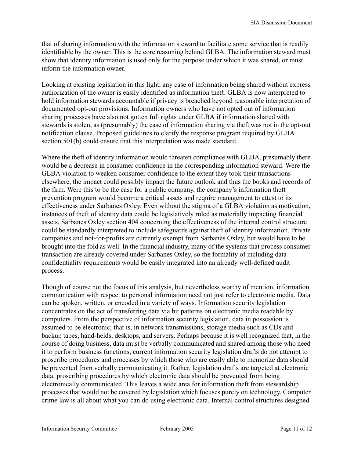that of sharing information with the information steward to facilitate some service that is readily identifiable by the owner. This is the core reasoning behind GLBA. The information steward must show that identity information is used only for the purpose under which it was shared, or must inform the information owner.

Looking at existing legislation in this light, any case of information being shared without express authorization of the owner is easily identified as information theft. GLBA is now interpreted to hold information stewards accountable if privacy is breached beyond reasonable interpretation of documented opt-out provisions. Information owners who have not opted out of information sharing processes have also not gotten full rights under GLBA if information shared with stewards is stolen, as (presumably) the case of information sharing via theft was not in the opt-out notification clause. Proposed guidelines to clarify the response program required by GLBA section 501(b) could ensure that this interpretation was made standard.

Where the theft of identity information would threaten compliance with GLBA, presumably there would be a decrease in consumer confidence in the corresponding information steward. Were the GLBA violation to weaken consumer confidence to the extent they took their transactions elsewhere, the impact could possibly impact the future outlook and thus the books and records of the firm. Were this to be the case for a public company, the company's information theft prevention program would become a critical assets and require management to attest to its effectiveness under Sarbanes Oxley. Even without the stigma of a GLBA violation as motivation, instances of theft of identity data could be legislatively ruled as materially impacting financial assets, Sarbanes Oxley section 404 concerning the effectiveness of the internal control structure could be standardly interpreted to include safeguards against theft of identity information. Private companies and not-for-profits are currently exempt from Sarbanes Oxley, but would have to be brought into the fold as well. In the financial industry, many of the systems that process consumer transaction are already covered under Sarbanes Oxley, so the formality of including data confidentiality requirements would be easily integrated into an already well-defined audit process.

Though of course not the focus of this analysis, but nevertheless worthy of mention, information communication with respect to personal information need not just refer to electronic media. Data can be spoken, written, or encoded in a variety of ways. Information security legislation concentrates on the act of transferring data via bit patterns on electronic media readable by computers. From the perspective of information security legislation, data in possession is assumed to be electronic; that is, in network transmissions, storage media such as CDs and backup tapes, hand-helds, desktops, and servers. Perhaps because it is well recognized that, in the course of doing business, data must be verbally communicated and shared among those who need it to perform business functions, current information security legislation drafts do not attempt to proscribe procedures and processes by which those who are easily able to memorize data should be prevented from verbally communicating it. Rather, legislation drafts are targeted at electronic data, proscribing procedures by which electronic data should be prevented from being electronically communicated. This leaves a wide area for information theft from stewardship processes that would not be covered by legislation which focuses purely on technology. Computer crime law is all about what you can do using electronic data. Internal control structures designed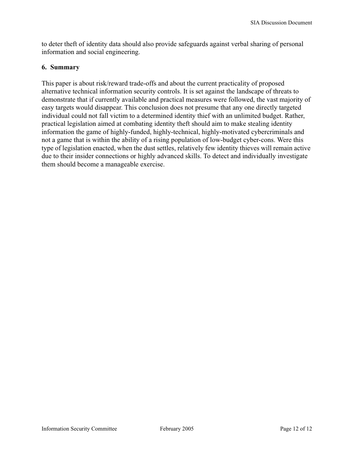to deter theft of identity data should also provide safeguards against verbal sharing of personal information and social engineering.

#### **6. Summary**

This paper is about risk/reward trade-offs and about the current practicality of proposed alternative technical information security controls. It is set against the landscape of threats to demonstrate that if currently available and practical measures were followed, the vast majority of easy targets would disappear. This conclusion does not presume that any one directly targeted individual could not fall victim to a determined identity thief with an unlimited budget. Rather, practical legislation aimed at combating identity theft should aim to make stealing identity information the game of highly-funded, highly-technical, highly-motivated cybercriminals and not a game that is within the ability of a rising population of low-budget cyber-cons. Were this type of legislation enacted, when the dust settles, relatively few identity thieves will remain active due to their insider connections or highly advanced skills. To detect and individually investigate them should become a manageable exercise.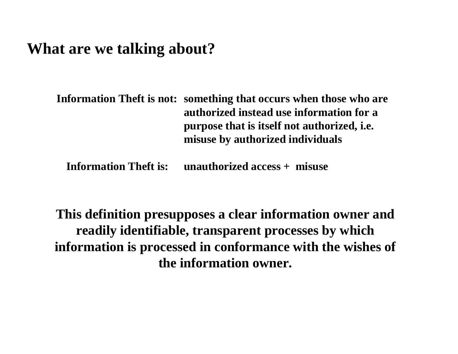## **What are we talking about?**

**Information Theft is not: something that occurs when those who are authorized instead use information for a purpose that is itself not authorized, i.e. misuse by authorized individuals** 

**Information Theft is: unauthorized access + misuse**

**This definition presupposes a clear information owner and readily identifiable, transparent processes by which information is processed in conformance with the wishes of the information owner.**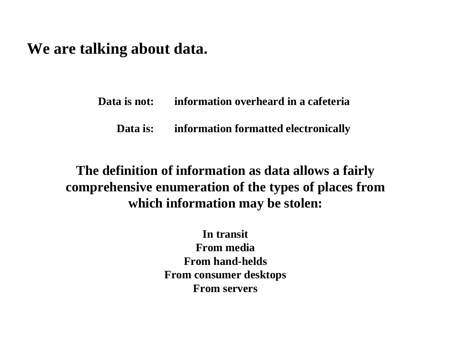### **We are talking about data.**

**Data is not: information overheard in a cafeteria** 

**Data is: information formatted electronically**

**The definition of information as data allows a fairly comprehensive enumeration of the types of places from which information may be stolen:**

> **In transitFrom media From hand-heldsFrom consumer desktops From servers**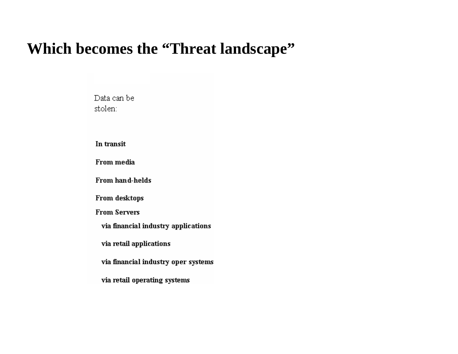## **Which becomes the "Threat landscape"**

Data can be stolen:

In transit

From media

From hand-helds

From desktops

**From Servers** 

via financial industry applications

via retail applications

via financial industry oper systems

via retail operating systems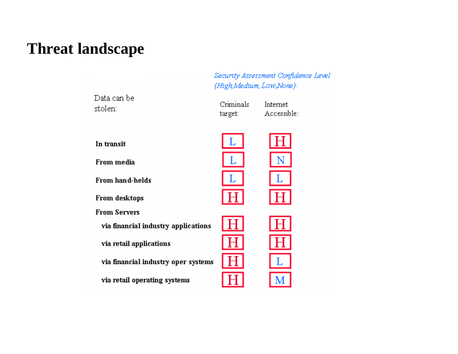## **Threat landscape**

Security Assessment Confidence Level (High Medium, Low, None):

Internet

Accessible:

Criminals

target:

Data can be stolen:

In transit

From media

From hand-helds

From desktops

**From Servers** 

via financial industry applications

via retail applications

via financial industry oper systems

via retail operating systems



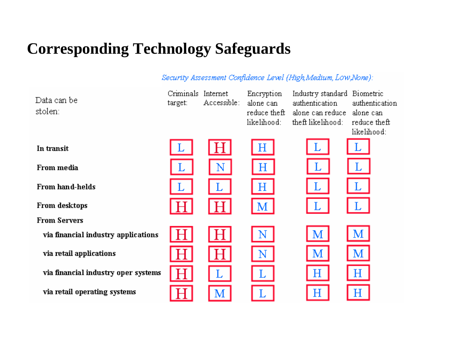# **Corresponding Technology Safeguards**

Security Assessment Confidence Level (High,Medium, Low,None):

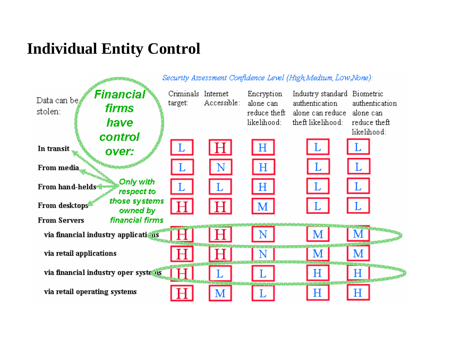## **Individual Entity Control**

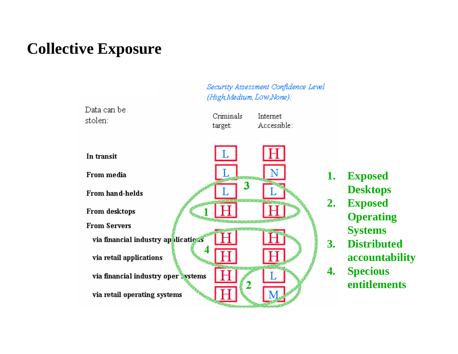## **Collective Exposure**

(High Medium, Low None): Data can be Criminals Internet stolen: Accessible: target: In transit From media 3 From hand-helds From desktops **From Servers** via financial industry applications via retail applications via financial industry oper systems via retail operating systems

Security Assessment Confidence Level

**1. Exposed Desktops**

- **2. Exposed Operating Systems**
- **3. Distributed accountability**
- **4. Specious entitlements**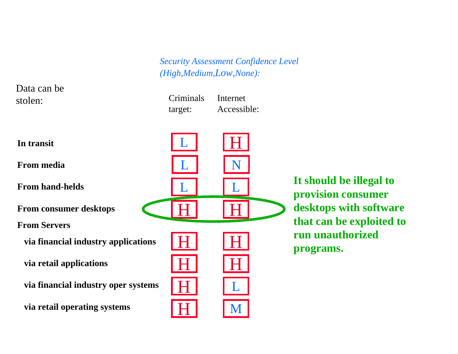Internet

Accessible:

Criminals

target:

Data can be stolen:

**In transit**

**From media** 

**From hand-helds**

**From consumer desktops**

**From Servers**

**via financial industry applications**

**via retail applications**

**via financial industry oper systems**

**via retail operating systems**



**It should be illegal to provision consumer desktops with software that can be exploited to run unauthorized programs.**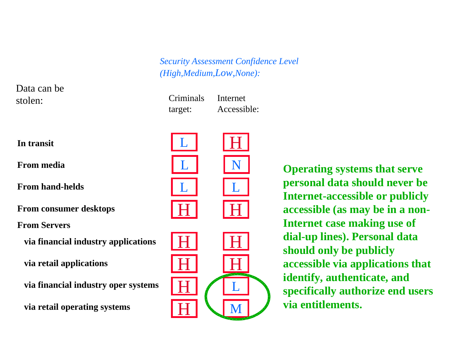Criminals target: Internet Accessible:



Data can be

stolen:

**From media** 

**From hand-helds**

**From consumer desktops**

**From Servers**

**via financial industry applications**

**via retail applications**

**via financial industry oper systems**

**via retail operating systems**



**Operating systems that serve personal data should never be Internet-accessible or publicly accessible (as may be in a non-Internet case making use of dial-up lines). Personal data should only be publicly accessible via applications that identify, authenticate, and specifically authorize end users via entitlements.**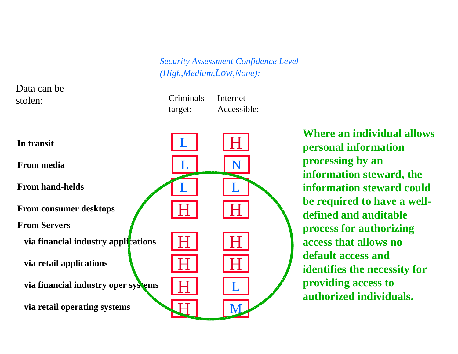H

L

H

M

H

L

H

Data can be stolen:

**In transit**

**From media** 

**From hand-helds**

**From consumer desktops**

**From Servers**

**via financial industry applications**

**via retail applications**

**via financial industry oper systems**

**via retail operating systems**

 Criminals target: Internet Accessible:

LI IN

L

L

L

H

 $\bf H$ 

H

H

H

**Where an individual allows personal information processing by an information steward, the information steward could be required to have a welldefined and auditable process for authorizing access that allows no default access and identifies the necessity for providing access to authorized individuals.**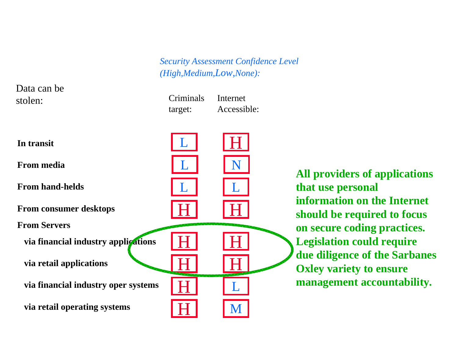Criminals target: Internet Accessible:



Data can be

stolen:

**All providers of applications that use personal information on the Internet should be required to focus on secure coding practices. Legislation could require due diligence of the Sarbanes Oxley variety to ensure management accountability.**